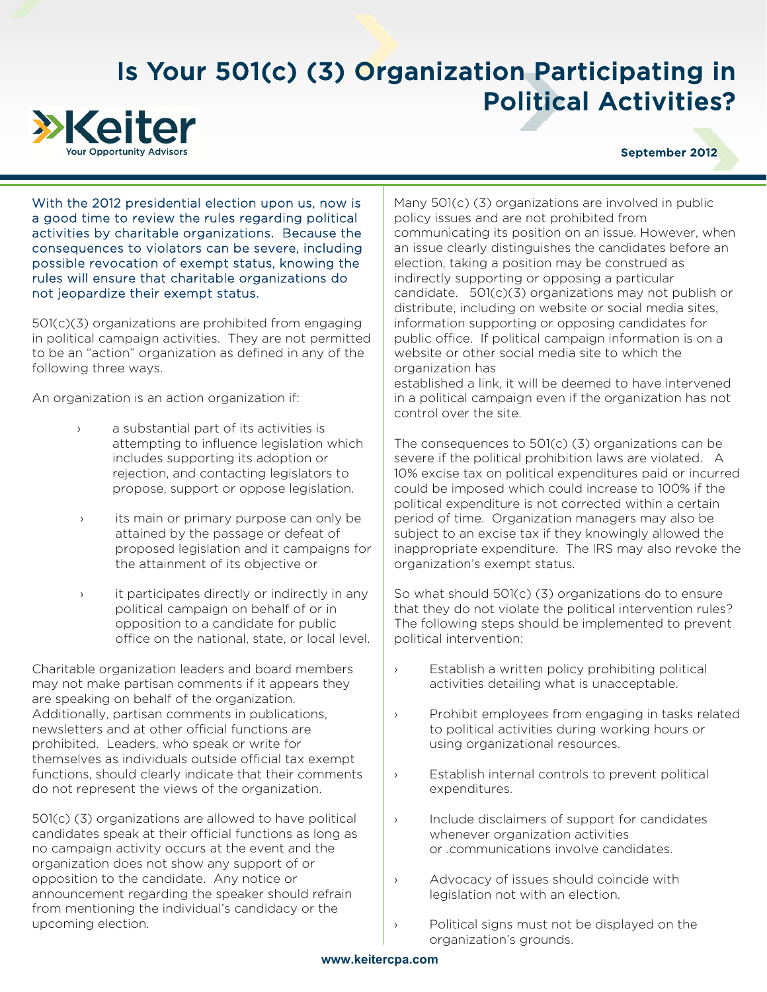## Is Your 501(c) (3) Organization Participating in Political Activities?



## September 2012

With the 2012 presidential election upon us, now is a good time to review the rules regarding political activities by charitable organizations. Because the consequences to violators can be severe, including possible revocation of exempt status, knowing the rules will ensure that charitable organizations do not jeopardize their exempt status.

501(c)(3) organizations are prohibited from engaging in political campaign activities. They are not permitted to be an "action" organization as defined in any of the following three ways.

An organization is an action organization if:

- › a substantial part of its activities is attempting to influence legislation which includes supporting its adoption or rejection, and contacting legislators to propose, support or oppose legislation.
- › its main or primary purpose can only be attained by the passage or defeat of proposed legislation and it campaigns for the attainment of its objective or
- › it participates directly or indirectly in any political campaign on behalf of or in opposition to a candidate for public office on the national, state, or local level.

Charitable organization leaders and board members may not make partisan comments if it appears they are speaking on behalf of the organization. Additionally, partisan comments in publications, newsletters and at other official functions are prohibited. Leaders, who speak or write for themselves as individuals outside official tax exempt functions, should clearly indicate that their comments do not represent the views of the organization.

501(c) (3) organizations are allowed to have political candidates speak at their official functions as long as no campaign activity occurs at the event and the organization does not show any support of or opposition to the candidate. Any notice or announcement regarding the speaker should refrain from mentioning the individual's candidacy or the upcoming election.

Many 501(c) (3) organizations are involved in public policy issues and are not prohibited from communicating its position on an issue. However, when an issue clearly distinguishes the candidates before an election, taking a position may be construed as indirectly supporting or opposing a particular candidate. 501(c)(3) organizations may not publish or distribute, including on website or social media sites, information supporting or opposing candidates for public office. If political campaign information is on a website or other social media site to which the organization has

established a link, it will be deemed to have intervened in a political campaign even if the organization has not control over the site.

The consequences to 501(c) (3) organizations can be severe if the political prohibition laws are violated. A 10% excise tax on political expenditures paid or incurred could be imposed which could increase to 100% if the political expenditure is not corrected within a certain period of time. Organization managers may also be subject to an excise tax if they knowingly allowed the inappropriate expenditure. The IRS may also revoke the organization's exempt status.

So what should 501(c) (3) organizations do to ensure that they do not violate the political intervention rules? The following steps should be implemented to prevent political intervention:

- › Establish a written policy prohibiting political activities detailing what is unacceptable.
- › Prohibit employees from engaging in tasks related to political activities during working hours or using organizational resources.
- › Establish internal controls to prevent political expenditures.
- › Include disclaimers of support for candidates whenever organization activities or .communications involve candidates.
- › Advocacy of issues should coincide with legislation not with an election.
- › Political signs must not be displayed on the organization's grounds.